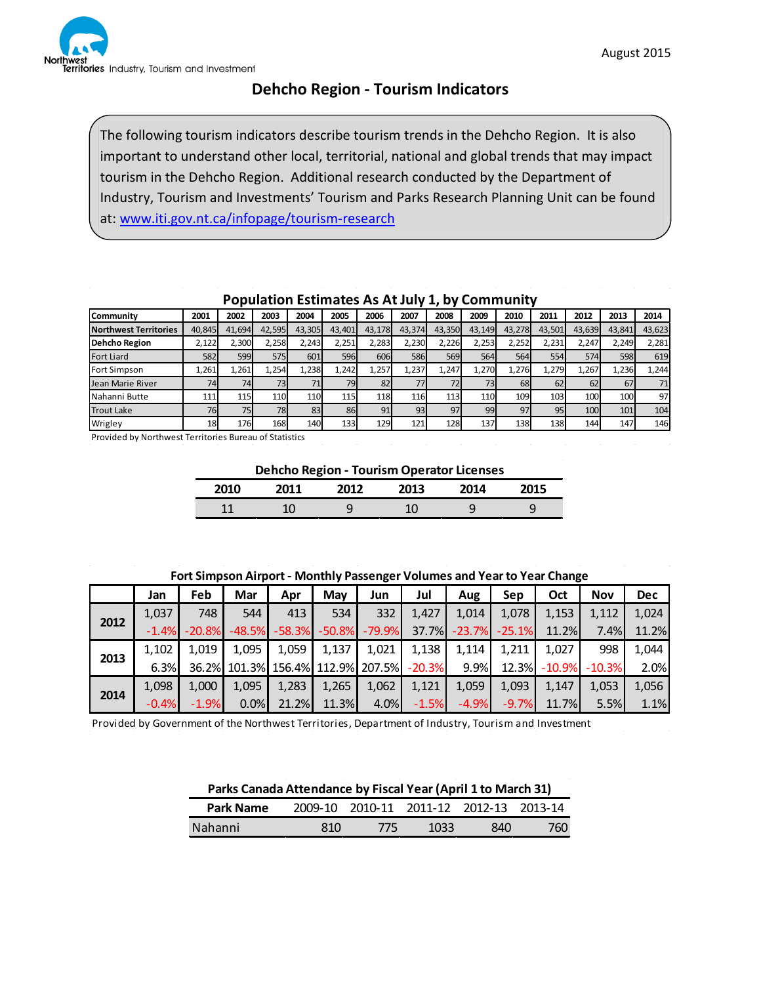

## **Dehcho Region - Tourism Indicators**

The following tourism indicators describe tourism trends in the Dehcho Region. It is also important to understand other local, territorial, national and global trends that may impact tourism in the Dehcho Region. Additional research conducted by the Department of Industry, Tourism and Investments' Tourism and Parks Research Planning Unit can be found at: [www.iti.gov.nt.ca/infopage/tourism-research](http://www.iti.gov.nt.ca/infopage/tourism-research)

| Community                    | 2001   | 2002   | 2003   | 2004   | 2005   | 2006   | 2007   | 2008   | 2009   | 2010   | 2011   | 2012   | 2013   | 2014   |
|------------------------------|--------|--------|--------|--------|--------|--------|--------|--------|--------|--------|--------|--------|--------|--------|
| <b>Northwest Territories</b> | 40,845 | 41.694 | 42,595 | 43.305 | 43,401 | 43.178 | 43,374 | 43.350 | 43,149 | 43.278 | 43,501 | 43.639 | 43,841 | 43,623 |
| <b>Dehcho Region</b>         | 2,122  | 2,300  | 2,258  | 2,243  | 2,251  | 2,283  | 2,230  | 2,226  | 2,253  | 2,252  | 2,231  | 2.247  | 2,249  | 2,281  |
| <b>Fort Liard</b>            | 582    | 599    | 575    | 601    | 596    | 606    | 586    | 569    | 564    | 564    | 554    | 574    | 598    | 619    |
| <b>Fort Simpson</b>          | 1,261  | 1.261  | 1,254  | 1.238  | 1,242  | 1,257  | 1,237  | 1.247  | 1,270  | 1.276  | 1.279  | 1.267  | 1.236  | 1,244  |
| Jean Marie River             | 74     | 74     | 73     |        | 79     | 82     | 77     | 72     | 73I    | 68     | 62     | 62     | 67     | 71     |
| Nahanni Butte                | 111    | 115    | 110    | 110    | 115    | 118    | 116    | 113    | 110    | 109    | 103    | 100    | 100    | 97     |
| <b>Trout Lake</b>            | 76     | 75     | 78     | 83     | 86     | 91     | 93     | 97     | 99     | 97     | 95     | 100    | 101    | 104    |
| Wrigley                      | 18     | 176    | 168    | 140    | 133    | 129    | 121    | 128    | 137    | 138    | 138    | 144    | 147    | 146    |

## **Population Estimates As At July 1, by Community**

Provided by Northwest Territories Bureau of Statistics

**Dehcho Region - Tourism Operator Licenses**

| 2010 | 2011 | フハ1つ   | 2013                  | 2014   | า15 |
|------|------|--------|-----------------------|--------|-----|
| 14   |      | c<br>پ | 10 <sup>7</sup><br>⊥∪ | c<br>ب | ٮ   |

| Fort Simpson Airport - Monthly Passenger Volumes and Year to Year Change |
|--------------------------------------------------------------------------|
|--------------------------------------------------------------------------|

|      | Jan     | Feb      | Mar      | Apr      | May           | Jun      | Jul       | Aug      | Sep      | Oct      | <b>Nov</b> | <b>Dec</b> |
|------|---------|----------|----------|----------|---------------|----------|-----------|----------|----------|----------|------------|------------|
|      | 1,037   | 748      | 544      | 413      | 534           | 332      | 1,427     | 1,014    | 1,078    | 1,153    | 1,112      | 1,024      |
| 2012 | $-1.4%$ | $-20.8%$ | $-48.5%$ | $-58.3%$ | $-50.8%$      | $-79.9%$ | 37.7%     | $-23.7%$ | $-25.1%$ | 11.2%    | 7.4%       | 11.2%      |
|      | 1.102   | 1.019    | 1.095    | 1,059    | 1,137         | 1,021    | 1,138     | 1,114    | 1.211    | 1.027    | 998        | 1,044      |
| 2013 | 6.3%    | 36.2%    | 101.3%   |          | 156.4% 112.9% | 207.5%   | $-20.3\%$ | 9.9%     | 12.3%    | $-10.9%$ | $-10.3%$   | 2.0%       |
|      | 1,098   | 1,000    | 1.095    | 1,283    | 1,265         | 1,062    | 1,121     | 1,059    | 1,093    | 1.147    | 1,053      | 1,056      |
| 2014 | $-0.4%$ | $-1.9%$  | 0.0%     | 21.2%    | 11.3%         | 4.0%     | $-1.5%$   | $-4.9%$  | $-9.7%$  | 11.7%    | 5.5%       | 1.1%       |

Provided by Government of the Northwest Territories, Department of Industry, Tourism and Investment

| Parks Canada Attendance by Fiscal Year (April 1 to March 31) |     |     |                                         |     |     |
|--------------------------------------------------------------|-----|-----|-----------------------------------------|-----|-----|
| <b>Park Name</b>                                             |     |     | 2009-10 2010-11 2011-12 2012-13 2013-14 |     |     |
| Nahanni                                                      | 810 | 775 | 1033                                    | 840 | 760 |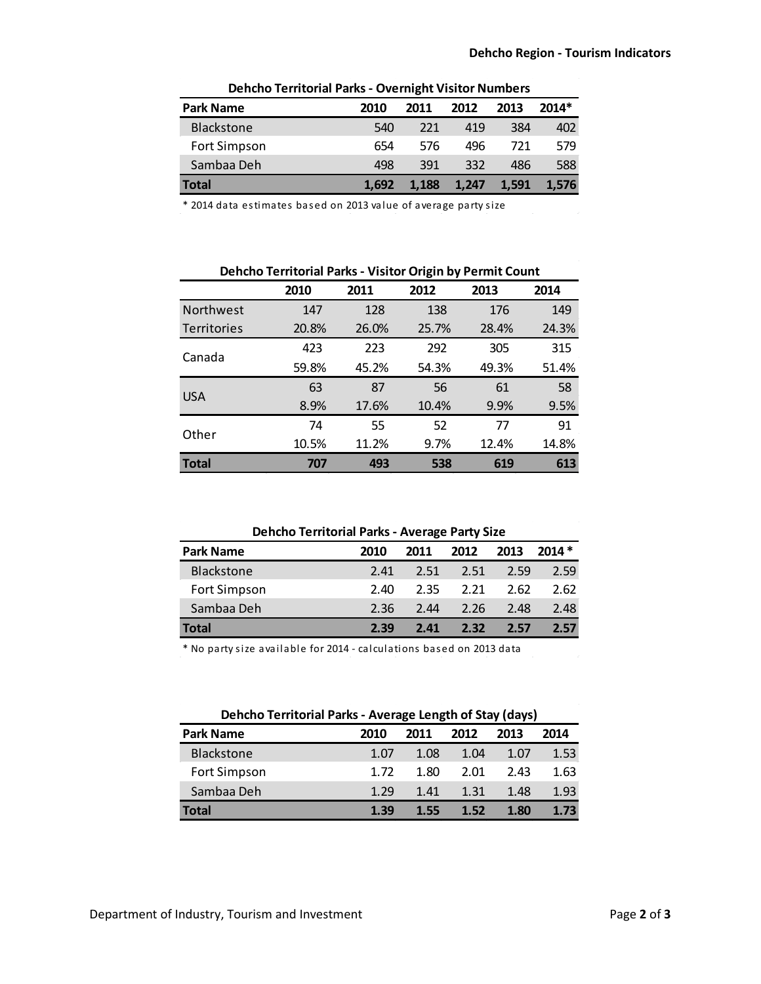| Dencho Territorial Parks - Overnight Visitor Numbers |       |       |       |       |       |  |  |
|------------------------------------------------------|-------|-------|-------|-------|-------|--|--|
| <b>Park Name</b>                                     | 2010  | 2011  | 2012  | 2013  | 2014* |  |  |
| <b>Blackstone</b>                                    | 540   | 221   | 419   | 384   | 402   |  |  |
| Fort Simpson                                         | 654   | 576   | 496   | 721   | 579   |  |  |
| Sambaa Deh                                           | 498   | 391   | 332   | 486   | 588   |  |  |
| Total                                                | 1.692 | 1.188 | 1.247 | 1.591 | 1.576 |  |  |

**Dehcho Territorial Parks - Overnight Visitor Numbers**

\* 2014 data estimates based on 2013 value of average party size

| Dehcho Territorial Parks - Visitor Origin by Permit Count |  |  |
|-----------------------------------------------------------|--|--|
|                                                           |  |  |

|                    | 2010  | 2011  | 2012  | 2013  | 2014  |
|--------------------|-------|-------|-------|-------|-------|
| <b>Northwest</b>   | 147   | 128   | 138   | 176   | 149   |
| <b>Territories</b> | 20.8% | 26.0% | 25.7% | 28.4% | 24.3% |
| Canada             | 423   | 223   | 292   | 305   | 315   |
|                    | 59.8% | 45.2% | 54.3% | 49.3% | 51.4% |
|                    | 63    | 87    | 56    | 61    | 58    |
| <b>USA</b>         | 8.9%  | 17.6% | 10.4% | 9.9%  | 9.5%  |
| Other              | 74    | 55    | 52    | 77    | 91    |
|                    | 10.5% | 11.2% | 9.7%  | 12.4% | 14.8% |
| <b>Total</b>       | 707   | 493   | 538   | 619   | 613   |

| <b>Park Name</b>  | 2010 | 2011 | 2012 | 2013 | $2014*$ |
|-------------------|------|------|------|------|---------|
| <b>Blackstone</b> | 2.41 | 2.51 | 2.51 | 2.59 | 2.59    |
| Fort Simpson      | 2.40 | 2.35 | 2.21 | 2.62 | 2.62    |
| Sambaa Deh        | 2.36 | 2.44 | 2.26 | 2.48 | 2.48    |
| Total             | 2.39 | 2.41 | 2.32 | 2.57 | 257     |

\* No party size available for 2014 - calculations based on 2013 data

| Dehcho Territorial Parks - Average Length of Stay (days) |      |      |      |      |      |  |  |
|----------------------------------------------------------|------|------|------|------|------|--|--|
| <b>Park Name</b>                                         | 2010 | 2011 | 2012 | 2013 | 2014 |  |  |
| Blackstone                                               | 1.07 | 1.08 | 1.04 | 1.07 | 1.53 |  |  |
| Fort Simpson                                             | 1.72 | 1.80 | 2.01 | 2.43 | 1.63 |  |  |
| Sambaa Deh                                               | 1.29 | 1.41 | 1.31 | 1.48 | 1.93 |  |  |
| Total                                                    | 1.39 | 1.55 | 1.52 | 1.80 | 1.73 |  |  |